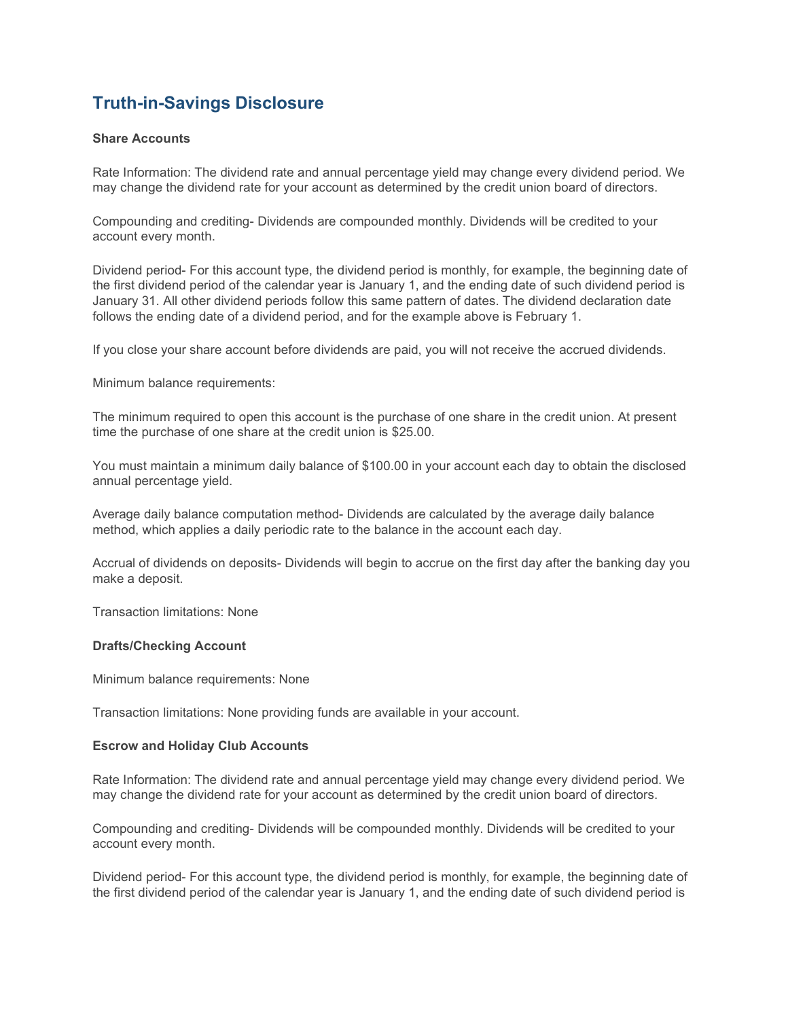# Truth-in-Savings Disclosure

### Share Accounts

Rate Information: The dividend rate and annual percentage yield may change every dividend period. We may change the dividend rate for your account as determined by the credit union board of directors.

Compounding and crediting- Dividends are compounded monthly. Dividends will be credited to your account every month.

Dividend period- For this account type, the dividend period is monthly, for example, the beginning date of the first dividend period of the calendar year is January 1, and the ending date of such dividend period is January 31. All other dividend periods follow this same pattern of dates. The dividend declaration date follows the ending date of a dividend period, and for the example above is February 1.

If you close your share account before dividends are paid, you will not receive the accrued dividends.

Minimum balance requirements:

The minimum required to open this account is the purchase of one share in the credit union. At present time the purchase of one share at the credit union is \$25.00.

You must maintain a minimum daily balance of \$100.00 in your account each day to obtain the disclosed annual percentage yield.

Average daily balance computation method- Dividends are calculated by the average daily balance method, which applies a daily periodic rate to the balance in the account each day.

Accrual of dividends on deposits- Dividends will begin to accrue on the first day after the banking day you make a deposit.

Transaction limitations: None

#### Drafts/Checking Account

Minimum balance requirements: None

Transaction limitations: None providing funds are available in your account.

#### Escrow and Holiday Club Accounts

Rate Information: The dividend rate and annual percentage yield may change every dividend period. We may change the dividend rate for your account as determined by the credit union board of directors.

Compounding and crediting- Dividends will be compounded monthly. Dividends will be credited to your account every month.

Dividend period- For this account type, the dividend period is monthly, for example, the beginning date of the first dividend period of the calendar year is January 1, and the ending date of such dividend period is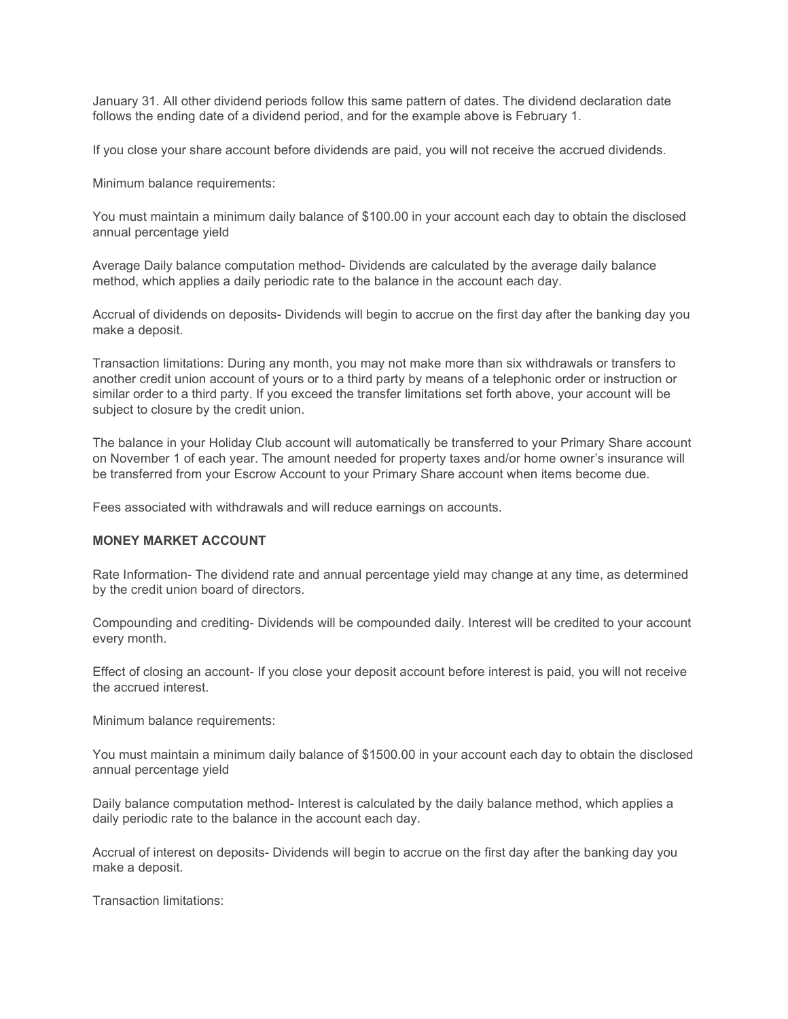January 31. All other dividend periods follow this same pattern of dates. The dividend declaration date follows the ending date of a dividend period, and for the example above is February 1.

If you close your share account before dividends are paid, you will not receive the accrued dividends.

Minimum balance requirements:

You must maintain a minimum daily balance of \$100.00 in your account each day to obtain the disclosed annual percentage yield

Average Daily balance computation method- Dividends are calculated by the average daily balance method, which applies a daily periodic rate to the balance in the account each day.

Accrual of dividends on deposits- Dividends will begin to accrue on the first day after the banking day you make a deposit.

Transaction limitations: During any month, you may not make more than six withdrawals or transfers to another credit union account of yours or to a third party by means of a telephonic order or instruction or similar order to a third party. If you exceed the transfer limitations set forth above, your account will be subject to closure by the credit union.

The balance in your Holiday Club account will automatically be transferred to your Primary Share account on November 1 of each year. The amount needed for property taxes and/or home owner's insurance will be transferred from your Escrow Account to your Primary Share account when items become due.

Fees associated with withdrawals and will reduce earnings on accounts.

#### MONEY MARKET ACCOUNT

Rate Information- The dividend rate and annual percentage yield may change at any time, as determined by the credit union board of directors.

Compounding and crediting- Dividends will be compounded daily. Interest will be credited to your account every month.

Effect of closing an account- If you close your deposit account before interest is paid, you will not receive the accrued interest.

Minimum balance requirements:

You must maintain a minimum daily balance of \$1500.00 in your account each day to obtain the disclosed annual percentage yield

Daily balance computation method- Interest is calculated by the daily balance method, which applies a daily periodic rate to the balance in the account each day.

Accrual of interest on deposits- Dividends will begin to accrue on the first day after the banking day you make a deposit.

Transaction limitations: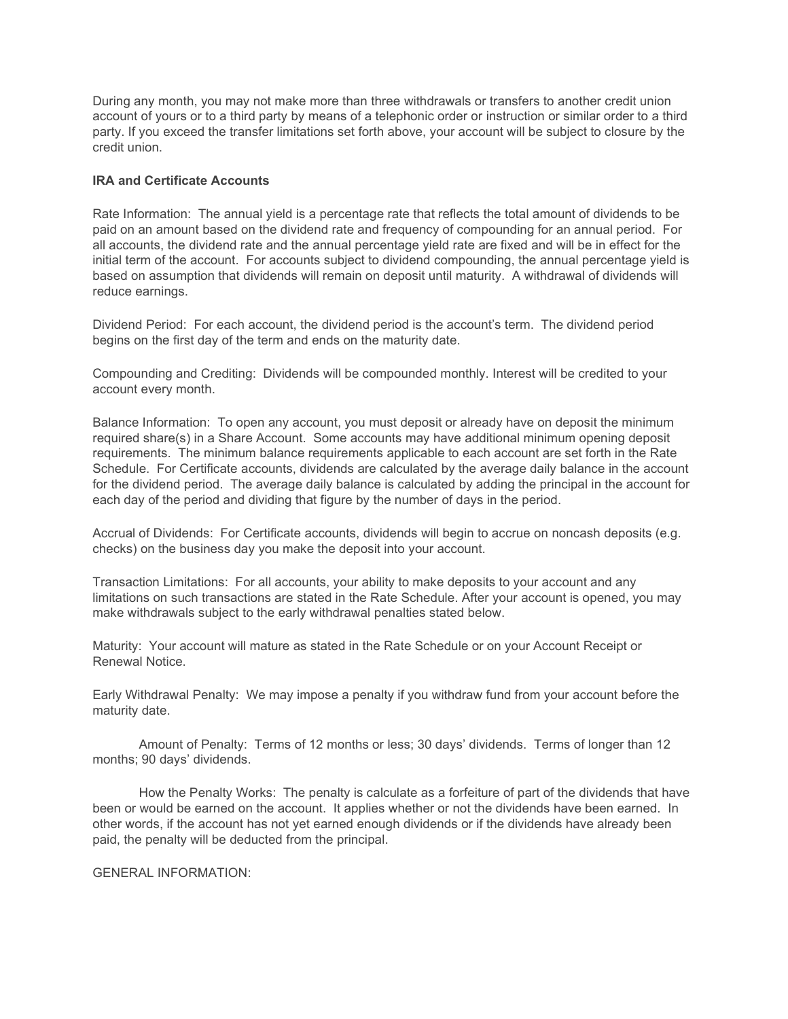During any month, you may not make more than three withdrawals or transfers to another credit union account of yours or to a third party by means of a telephonic order or instruction or similar order to a third party. If you exceed the transfer limitations set forth above, your account will be subject to closure by the credit union.

## IRA and Certificate Accounts

Rate Information: The annual yield is a percentage rate that reflects the total amount of dividends to be paid on an amount based on the dividend rate and frequency of compounding for an annual period. For all accounts, the dividend rate and the annual percentage yield rate are fixed and will be in effect for the initial term of the account. For accounts subject to dividend compounding, the annual percentage yield is based on assumption that dividends will remain on deposit until maturity. A withdrawal of dividends will reduce earnings.

Dividend Period: For each account, the dividend period is the account's term. The dividend period begins on the first day of the term and ends on the maturity date.

Compounding and Crediting: Dividends will be compounded monthly. Interest will be credited to your account every month.

Balance Information: To open any account, you must deposit or already have on deposit the minimum required share(s) in a Share Account. Some accounts may have additional minimum opening deposit requirements. The minimum balance requirements applicable to each account are set forth in the Rate Schedule. For Certificate accounts, dividends are calculated by the average daily balance in the account for the dividend period. The average daily balance is calculated by adding the principal in the account for each day of the period and dividing that figure by the number of days in the period.

Accrual of Dividends: For Certificate accounts, dividends will begin to accrue on noncash deposits (e.g. checks) on the business day you make the deposit into your account.

Transaction Limitations: For all accounts, your ability to make deposits to your account and any limitations on such transactions are stated in the Rate Schedule. After your account is opened, you may make withdrawals subject to the early withdrawal penalties stated below.

Maturity: Your account will mature as stated in the Rate Schedule or on your Account Receipt or Renewal Notice.

Early Withdrawal Penalty: We may impose a penalty if you withdraw fund from your account before the maturity date.

 Amount of Penalty: Terms of 12 months or less; 30 days' dividends. Terms of longer than 12 months; 90 days' dividends.

 How the Penalty Works: The penalty is calculate as a forfeiture of part of the dividends that have been or would be earned on the account. It applies whether or not the dividends have been earned. In other words, if the account has not yet earned enough dividends or if the dividends have already been paid, the penalty will be deducted from the principal.

GENERAL INFORMATION: